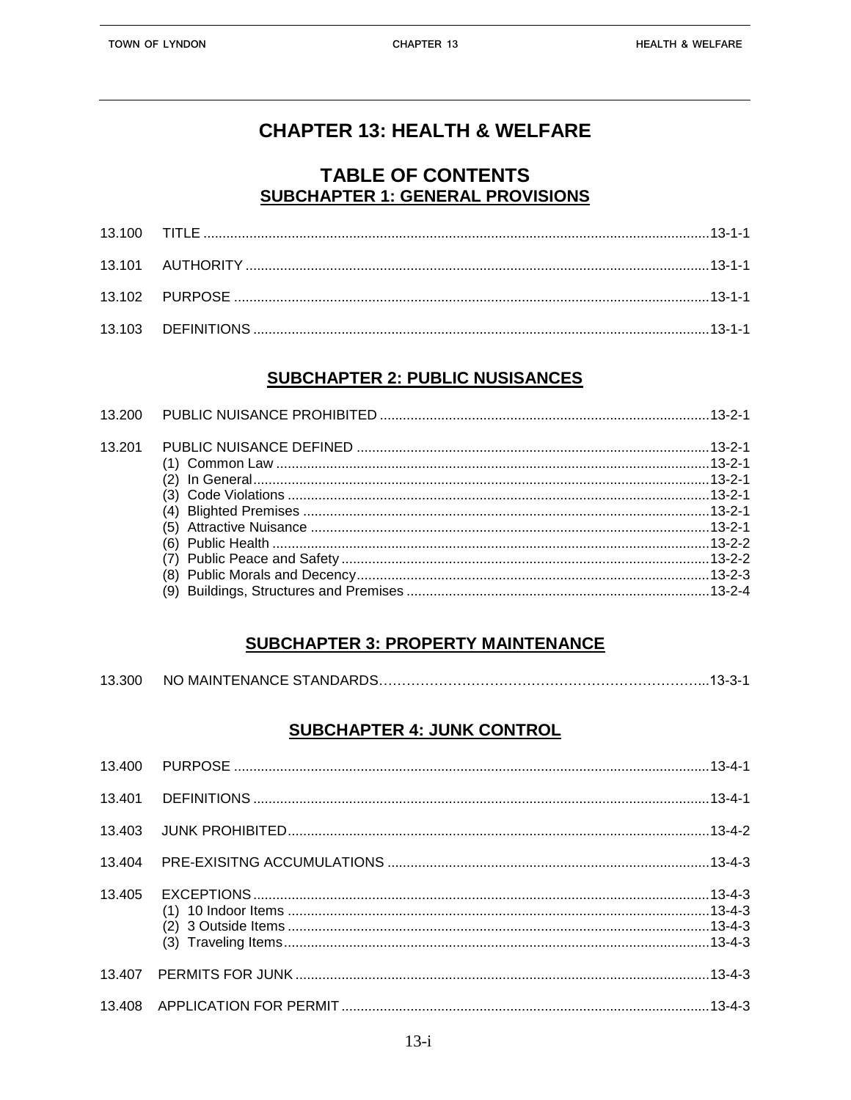# **CHAPTER 13: HEALTH & WELFARE**

## **TABLE OF CONTENTS SUBCHAPTER 1: GENERAL PROVISIONS**

#### **SUBCHAPTER 2: PUBLIC NUSISANCES**

| 13 201 |  |
|--------|--|
|        |  |
|        |  |
|        |  |

## **SUBCHAPTER 3: PROPERTY MAINTENANCE**

| 13.300 | NO MAINTENANCE STANDARDS…………………………………………………………………13-3-1 |  |
|--------|---------------------------------------------------------|--|
|        |                                                         |  |

## **SUBCHAPTER 4: JUNK CONTROL**

| 13.405 |  |
|--------|--|
|        |  |
|        |  |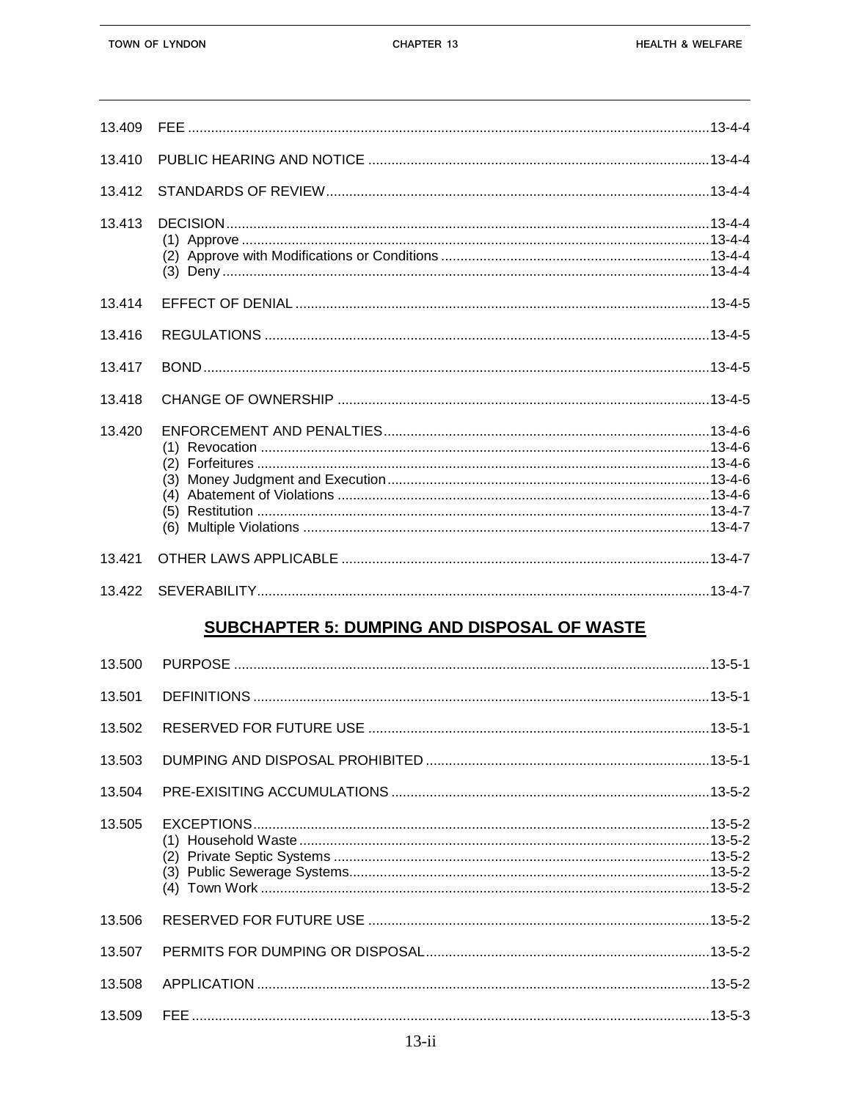13.506

13.507

13.508

13.509

| 13.409 |                                             |  |
|--------|---------------------------------------------|--|
| 13.410 |                                             |  |
| 13.412 |                                             |  |
| 13.413 |                                             |  |
| 13.414 |                                             |  |
| 13.416 |                                             |  |
| 13.417 |                                             |  |
| 13.418 |                                             |  |
| 13.420 |                                             |  |
| 13.421 |                                             |  |
| 13.422 |                                             |  |
|        | SUBCHAPTER 5: DUMPING AND DISPOSAL OF WASTE |  |
| 13.500 |                                             |  |
| 13.501 |                                             |  |
|        |                                             |  |
| 13.503 |                                             |  |
| 13.504 |                                             |  |
| 13.505 |                                             |  |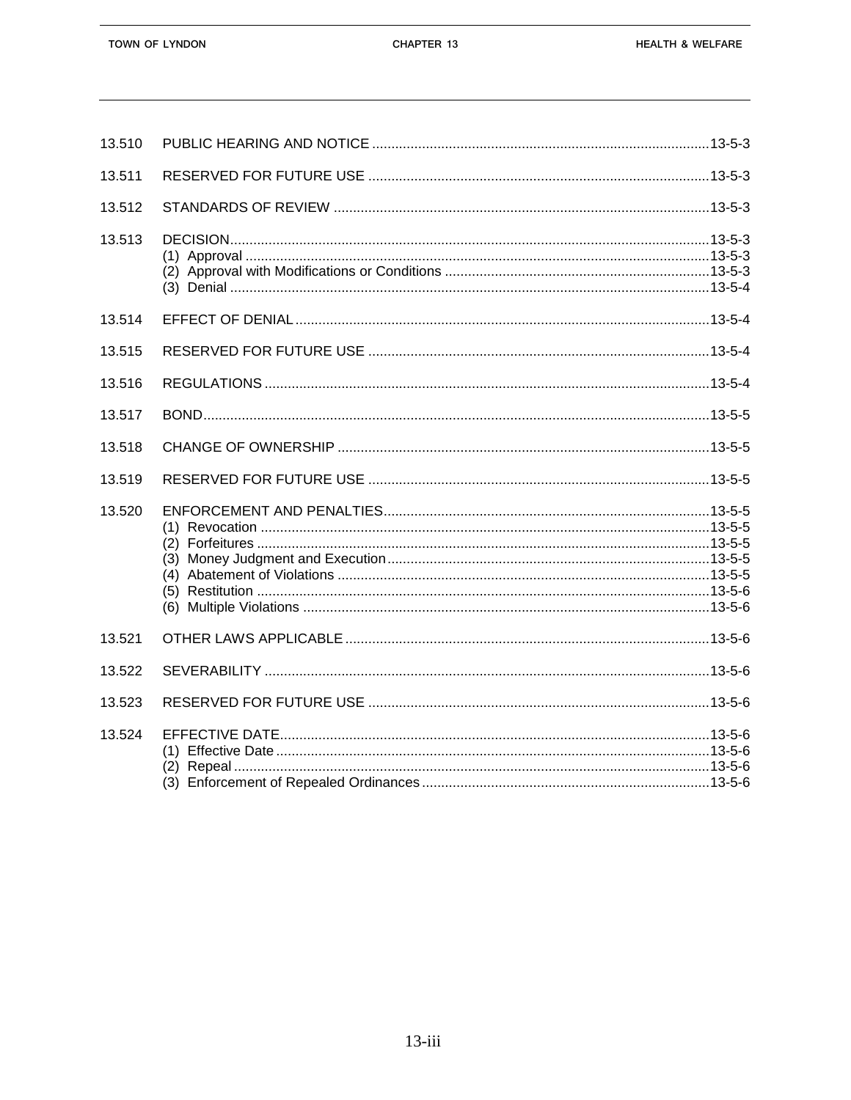| 13.510 |  |
|--------|--|
| 13.511 |  |
| 13.512 |  |
| 13.513 |  |
| 13.514 |  |
| 13.515 |  |
| 13.516 |  |
| 13.517 |  |
| 13.518 |  |
| 13.519 |  |
| 13.520 |  |
| 13.521 |  |
| 13.522 |  |
| 13.523 |  |
| 13.524 |  |